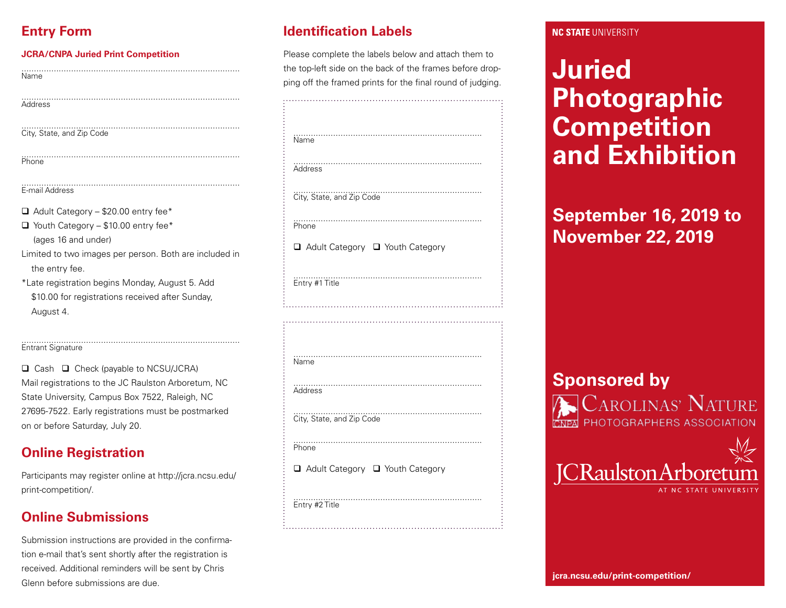# **Entry Form**

#### **JCRA/CNPA Juried Print Competition**

Name

Address

........................................................................................ City, State, and Zip Code

Phone

#### ........................................................................................ E-mail Address

 $\Box$  Adult Category – \$20.00 entry fee\*

- $\Box$  Youth Category \$10.00 entry fee\* (ages 16 and under)
- Limited to two images per person. Both are included in the entry fee.

........................................................................................

\*Late registration begins Monday, August 5. Add \$10.00 for registrations received after Sunday, August 4.

#### Entrant Signature

 $\Box$  Cash  $\Box$  Check (payable to NCSU/JCRA) Mail registrations to the JC Raulston Arboretum, NC State University, Campus Box 7522, Raleigh, NC 27695-7522. Early registrations must be postmarked on or before Saturday, July 20.

........................................................................................

### **Online Registration**

Participants may register online at http://jcra.ncsu.edu/ print-competition/.

# **Online Submissions**

Submission instructions are provided in the confirmation e-mail that's sent shortly after the registration is received. Additional reminders will be sent by Chris Glenn before submissions are due. **joint-competition** and the submissions are due.

# **Identification Labels**

Please complete the labels below and attach them to the top-left side on the back of the frames before dropping off the framed prints for the final round of judging.

| Name                              |
|-----------------------------------|
| Address                           |
| .<br>City, State, and Zip Code    |
| <br>Phone                         |
| □ Adult Category □ Youth Category |
| Entry #1 Title                    |
|                                   |
|                                   |
| Name                              |
| Address                           |
| City, State, and Zip Code         |
| <br>Phone                         |
| □ Adult Category □ Youth Category |
| Entry #2 Title                    |

#### **NC STATE UNIVERSITY**

# **Juried Photographic Competition and Exhibition**

# **September 16, 2019 to November 22, 2019**

# **Sponsored by**

Carolinas<sup>,</sup> Nature PHOTOGRAPHERS ASSOCIATION